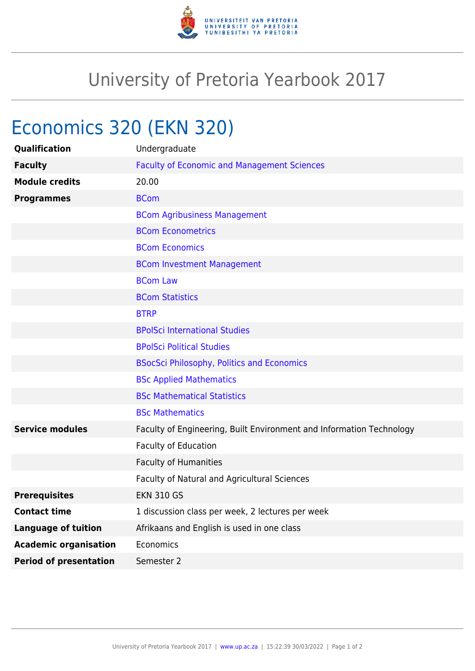

## University of Pretoria Yearbook 2017

## Economics 320 (EKN 320)

| Qualification                 | Undergraduate                                                        |
|-------------------------------|----------------------------------------------------------------------|
| <b>Faculty</b>                | <b>Faculty of Economic and Management Sciences</b>                   |
| <b>Module credits</b>         | 20.00                                                                |
| <b>Programmes</b>             | <b>BCom</b>                                                          |
|                               | <b>BCom Agribusiness Management</b>                                  |
|                               | <b>BCom Econometrics</b>                                             |
|                               | <b>BCom Economics</b>                                                |
|                               | <b>BCom Investment Management</b>                                    |
|                               | <b>BCom Law</b>                                                      |
|                               | <b>BCom Statistics</b>                                               |
|                               | <b>BTRP</b>                                                          |
|                               | <b>BPolSci International Studies</b>                                 |
|                               | <b>BPolSci Political Studies</b>                                     |
|                               | <b>BSocSci Philosophy, Politics and Economics</b>                    |
|                               | <b>BSc Applied Mathematics</b>                                       |
|                               | <b>BSc Mathematical Statistics</b>                                   |
|                               | <b>BSc Mathematics</b>                                               |
| <b>Service modules</b>        | Faculty of Engineering, Built Environment and Information Technology |
|                               | Faculty of Education                                                 |
|                               | Faculty of Humanities                                                |
|                               | Faculty of Natural and Agricultural Sciences                         |
| <b>Prerequisites</b>          | <b>EKN 310 GS</b>                                                    |
| <b>Contact time</b>           | 1 discussion class per week, 2 lectures per week                     |
| <b>Language of tuition</b>    | Afrikaans and English is used in one class                           |
| <b>Academic organisation</b>  | Economics                                                            |
| <b>Period of presentation</b> | Semester 2                                                           |
|                               |                                                                      |